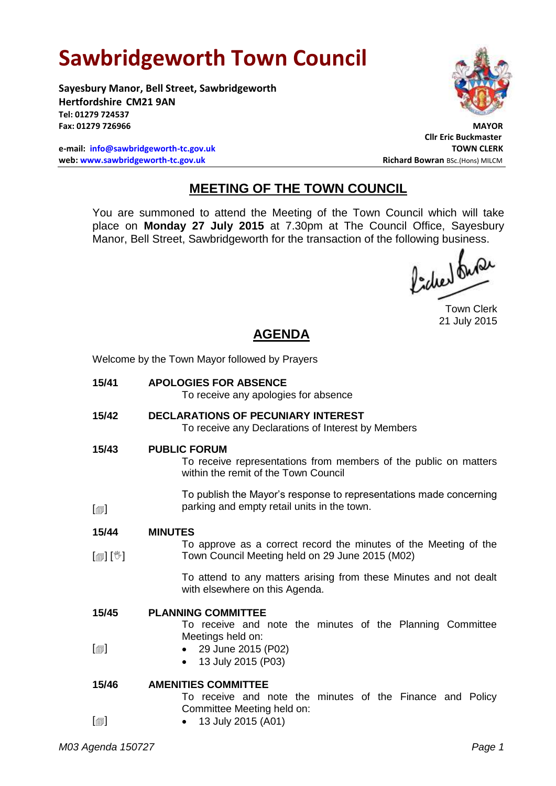# **Sawbridgeworth Town Council**

**Sayesbury Manor, Bell Street, Sawbridgeworth Hertfordshire CM21 9AN Tel: 01279 724537** Fax: 01279 726966

**e-mail: [info@sawbridgeworth-tc.gov.uk](mailto:info@sawbridgeworth-tc.gov.uk) TOWN CLERK web: www.sawbridgeworth-tc.gov.uk Richard Bowran BSc.(Hons) MILCM Richard Bowran BSc.(Hons) MILCM** 



**Cllr Eric Buckmaster**

## **MEETING OF THE TOWN COUNCIL**

You are summoned to attend the Meeting of the Town Council which will take place on **Monday 27 July 2015** at 7.30pm at The Council Office, Sayesbury Manor, Bell Street, Sawbridgeworth for the transaction of the following business.<br>  $\Lambda$ ,  $\Lambda$ 

Town Clerk 21 July 2015

*M03 Agenda 150727 Page 1* **AGENDA** Welcome by the Town Mayor followed by Prayers **15/41 APOLOGIES FOR ABSENCE** To receive any apologies for absence **15/42 DECLARATIONS OF PECUNIARY INTEREST** To receive any Declarations of Interest by Members **15/43**  $\Box$ **PUBLIC FORUM** To receive representations from members of the public on matters within the remit of the Town Council To publish the Mayor's response to representations made concerning parking and empty retail units in the town. **15/44**  $\lceil$  [ $\mathbb{I}$ ] **MINUTES** To approve as a correct record the minutes of the Meeting of the Town Council Meeting held on 29 June 2015 (M02) To attend to any matters arising from these Minutes and not dealt with elsewhere on this Agenda. **15/45**  $\lceil$ **PLANNING COMMITTEE** To receive and note the minutes of the Planning Committee Meetings held on: 29 June 2015 (P02) • 13 July 2015 (P03) **15/46**  $\Box$ **AMENITIES COMMITTEE** To receive and note the minutes of the Finance and Policy Committee Meeting held on: • 13 July 2015 (A01)